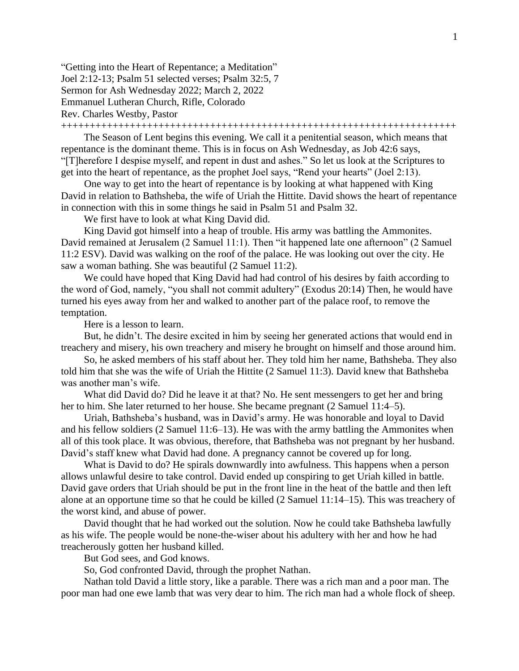"Getting into the Heart of Repentance; a Meditation" Joel 2:12-13; Psalm 51 selected verses; Psalm 32:5, 7 Sermon for Ash Wednesday 2022; March 2, 2022 Emmanuel Lutheran Church, Rifle, Colorado Rev. Charles Westby, Pastor

+++++++++++++++++++++++++++++++++++++++++++++++++++++++++++++++++++++

The Season of Lent begins this evening. We call it a penitential season, which means that repentance is the dominant theme. This is in focus on Ash Wednesday, as Job 42:6 says, "[T]herefore I despise myself, and repent in dust and ashes." So let us look at the Scriptures to get into the heart of repentance, as the prophet Joel says, "Rend your hearts" (Joel 2:13).

One way to get into the heart of repentance is by looking at what happened with King David in relation to Bathsheba, the wife of Uriah the Hittite. David shows the heart of repentance in connection with this in some things he said in Psalm 51 and Psalm 32.

We first have to look at what King David did.

King David got himself into a heap of trouble. His army was battling the Ammonites. David remained at Jerusalem (2 Samuel 11:1). Then "it happened late one afternoon" (2 Samuel 11:2 ESV). David was walking on the roof of the palace. He was looking out over the city. He saw a woman bathing. She was beautiful (2 Samuel 11:2).

We could have hoped that King David had had control of his desires by faith according to the word of God, namely, "you shall not commit adultery" (Exodus 20:14) Then, he would have turned his eyes away from her and walked to another part of the palace roof, to remove the temptation.

Here is a lesson to learn.

But, he didn't. The desire excited in him by seeing her generated actions that would end in treachery and misery, his own treachery and misery he brought on himself and those around him.

So, he asked members of his staff about her. They told him her name, Bathsheba. They also told him that she was the wife of Uriah the Hittite (2 Samuel 11:3). David knew that Bathsheba was another man's wife.

What did David do? Did he leave it at that? No. He sent messengers to get her and bring her to him. She later returned to her house. She became pregnant (2 Samuel 11:4–5).

Uriah, Bathsheba's husband, was in David's army. He was honorable and loyal to David and his fellow soldiers (2 Samuel 11:6–13). He was with the army battling the Ammonites when all of this took place. It was obvious, therefore, that Bathsheba was not pregnant by her husband. David's staff knew what David had done. A pregnancy cannot be covered up for long.

What is David to do? He spirals downwardly into awfulness. This happens when a person allows unlawful desire to take control. David ended up conspiring to get Uriah killed in battle. David gave orders that Uriah should be put in the front line in the heat of the battle and then left alone at an opportune time so that he could be killed (2 Samuel 11:14–15). This was treachery of the worst kind, and abuse of power.

David thought that he had worked out the solution. Now he could take Bathsheba lawfully as his wife. The people would be none-the-wiser about his adultery with her and how he had treacherously gotten her husband killed.

But God sees, and God knows.

So, God confronted David, through the prophet Nathan.

Nathan told David a little story, like a parable. There was a rich man and a poor man. The poor man had one ewe lamb that was very dear to him. The rich man had a whole flock of sheep.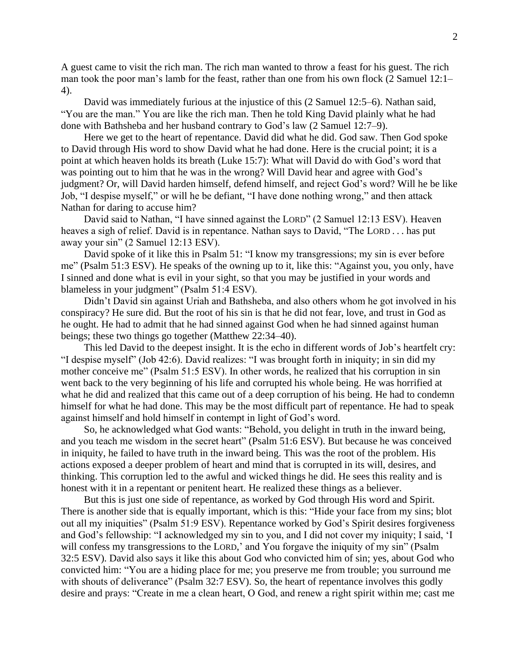A guest came to visit the rich man. The rich man wanted to throw a feast for his guest. The rich man took the poor man's lamb for the feast, rather than one from his own flock (2 Samuel 12:1– 4).

David was immediately furious at the injustice of this (2 Samuel 12:5–6). Nathan said, "You are the man." You are like the rich man. Then he told King David plainly what he had done with Bathsheba and her husband contrary to God's law (2 Samuel 12:7–9).

Here we get to the heart of repentance. David did what he did. God saw. Then God spoke to David through His word to show David what he had done. Here is the crucial point; it is a point at which heaven holds its breath (Luke 15:7): What will David do with God's word that was pointing out to him that he was in the wrong? Will David hear and agree with God's judgment? Or, will David harden himself, defend himself, and reject God's word? Will he be like Job, "I despise myself," or will he be defiant, "I have done nothing wrong," and then attack Nathan for daring to accuse him?

David said to Nathan, "I have sinned against the LORD" (2 Samuel 12:13 ESV). Heaven heaves a sigh of relief. David is in repentance. Nathan says to David, "The LORD . . . has put away your sin" (2 Samuel 12:13 ESV).

David spoke of it like this in Psalm 51: "I know my transgressions; my sin is ever before me" (Psalm 51:3 ESV). He speaks of the owning up to it, like this: "Against you, you only, have I sinned and done what is evil in your sight, so that you may be justified in your words and blameless in your judgment" (Psalm 51:4 ESV).

Didn't David sin against Uriah and Bathsheba, and also others whom he got involved in his conspiracy? He sure did. But the root of his sin is that he did not fear, love, and trust in God as he ought. He had to admit that he had sinned against God when he had sinned against human beings; these two things go together (Matthew 22:34–40).

This led David to the deepest insight. It is the echo in different words of Job's heartfelt cry: "I despise myself" (Job 42:6). David realizes: "I was brought forth in iniquity; in sin did my mother conceive me" (Psalm 51:5 ESV). In other words, he realized that his corruption in sin went back to the very beginning of his life and corrupted his whole being. He was horrified at what he did and realized that this came out of a deep corruption of his being. He had to condemn himself for what he had done. This may be the most difficult part of repentance. He had to speak against himself and hold himself in contempt in light of God's word.

So, he acknowledged what God wants: "Behold, you delight in truth in the inward being, and you teach me wisdom in the secret heart" (Psalm 51:6 ESV). But because he was conceived in iniquity, he failed to have truth in the inward being. This was the root of the problem. His actions exposed a deeper problem of heart and mind that is corrupted in its will, desires, and thinking. This corruption led to the awful and wicked things he did. He sees this reality and is honest with it in a repentant or penitent heart. He realized these things as a believer.

But this is just one side of repentance, as worked by God through His word and Spirit. There is another side that is equally important, which is this: "Hide your face from my sins; blot out all my iniquities" (Psalm 51:9 ESV). Repentance worked by God's Spirit desires forgiveness and God's fellowship: "I acknowledged my sin to you, and I did not cover my iniquity; I said, 'I will confess my transgressions to the LORD,' and You forgave the iniquity of my sin" (Psalm 32:5 ESV). David also says it like this about God who convicted him of sin; yes, about God who convicted him: "You are a hiding place for me; you preserve me from trouble; you surround me with shouts of deliverance" (Psalm 32:7 ESV). So, the heart of repentance involves this godly desire and prays: "Create in me a clean heart, O God, and renew a right spirit within me; cast me